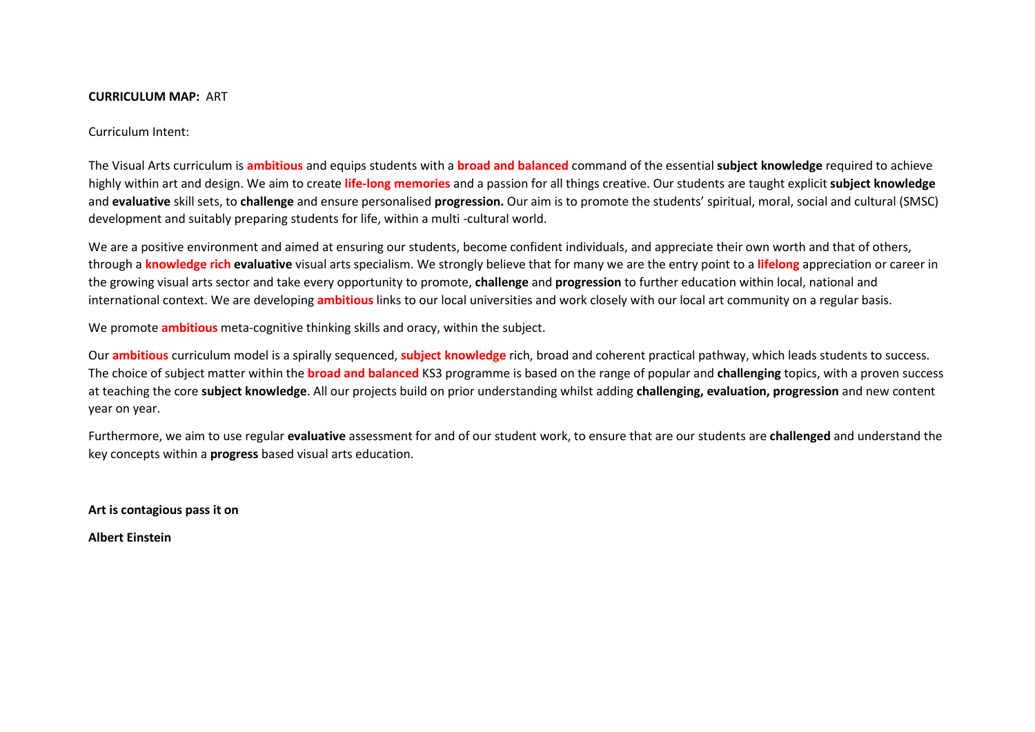#### **CURRICULUM MAP:** ART

Curriculum Intent:

The Visual Arts curriculum is **ambitious** and equips students with a **broad and balanced** command of the essential **subject knowledge** required to achieve highly within art and design. We aim to create **life-long memories** and a passion for all things creative. Our students are taught explicit **subject knowledge** and **evaluative** skill sets, to **challenge** and ensure personalised **progression.** Our aim is to promote the students' spiritual, moral, social and cultural (SMSC) development and suitably preparing students for life, within a multi -cultural world.

We are a positive environment and aimed at ensuring our students, become confident individuals, and appreciate their own worth and that of others, through a **knowledge rich evaluative** visual arts specialism. We strongly believe that for many we are the entry point to a **lifelong** appreciation or career in the growing visual arts sector and take every opportunity to promote, **challenge** and **progression** to further education within local, national and international context. We are developing **ambitious** links to our local universities and work closely with our local art community on a regular basis.

We promote **ambitious** meta-cognitive thinking skills and oracy, within the subject.

Our **ambitious** curriculum model is a spirally sequenced, **subject knowledge** rich, broad and coherent practical pathway, which leads students to success. The choice of subject matter within the **broad and balanced** KS3 programme is based on the range of popular and **challenging** topics, with a proven success at teaching the core **subject knowledge**. All our projects build on prior understanding whilst adding **challenging, evaluation, progression** and new content year on year.

Furthermore, we aim to use regular **evaluative** assessment for and of our student work, to ensure that are our students are **challenged** and understand the key concepts within a **progress** based visual arts education.

**Art is contagious pass it on** 

**Albert Einstein**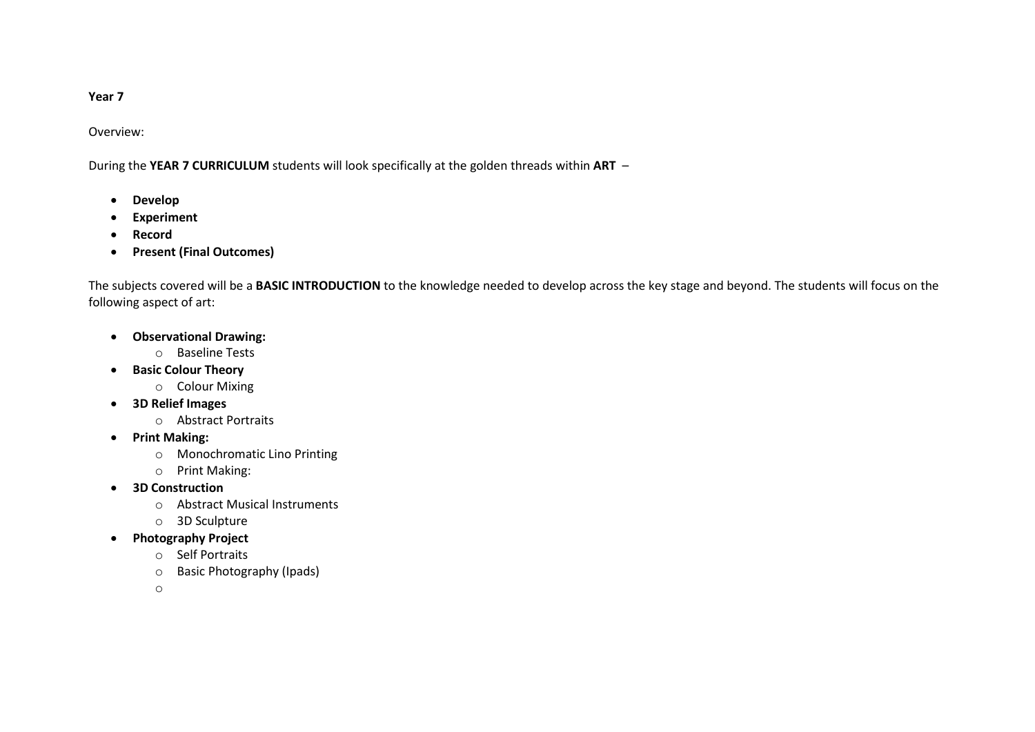## **Year 7**

Overview:

During the **YEAR 7 CURRICULUM** students will look specifically at the golden threads within **ART** –

- **Develop**
- **Experiment**
- **Record**
- **Present (Final Outcomes)**

The subjects covered will be a **BASIC INTRODUCTION** to the knowledge needed to develop across the key stage and beyond. The students will focus on the following aspect of art:

- **Observational Drawing:** 
	- o Baseline Tests
- **Basic Colour Theory**
	- o Colour Mixing
- **3D Relief Images**
	- o Abstract Portraits
- **Print Making:**
	- o Monochromatic Lino Printing
	- o Print Making:
- **3D Construction** 
	- o Abstract Musical Instruments
	- o 3D Sculpture
- **Photography Project** 
	- o Self Portraits
	- o Basic Photography (Ipads)

o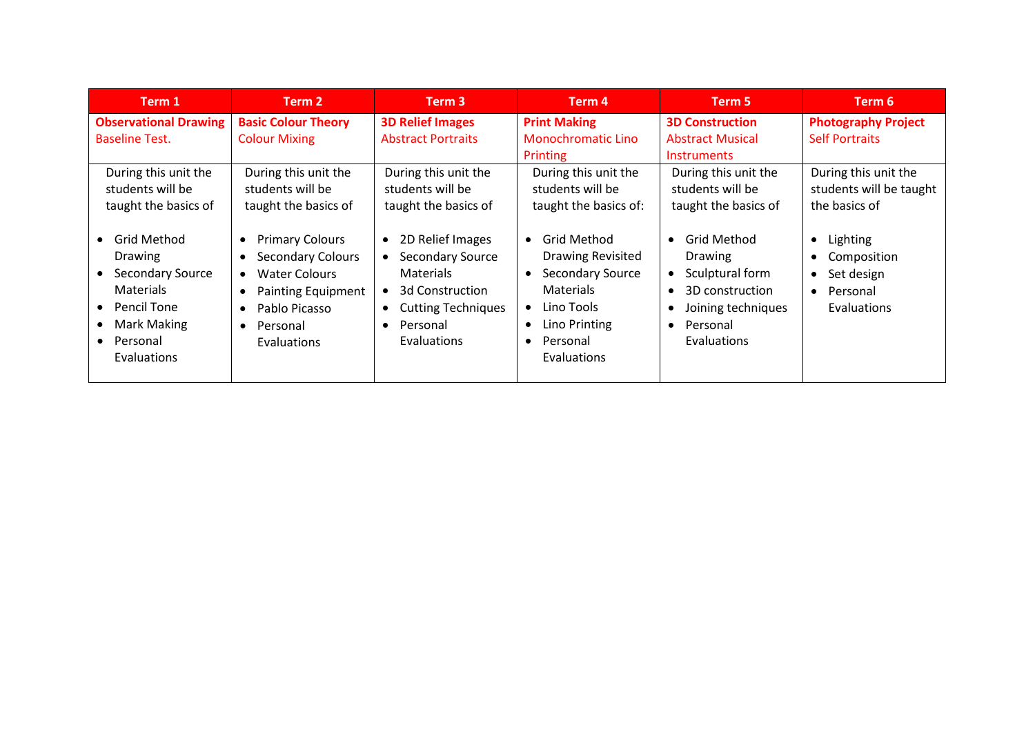| Term 1                                                                                                                                                          | Term 2                                                                                                                                                                                                                            | Term 3                                                                                                                                                                          | Term 4                                                                                                                                                                                                | Term 5                                                                                                                                                  | Term 6                                                                                                                      |
|-----------------------------------------------------------------------------------------------------------------------------------------------------------------|-----------------------------------------------------------------------------------------------------------------------------------------------------------------------------------------------------------------------------------|---------------------------------------------------------------------------------------------------------------------------------------------------------------------------------|-------------------------------------------------------------------------------------------------------------------------------------------------------------------------------------------------------|---------------------------------------------------------------------------------------------------------------------------------------------------------|-----------------------------------------------------------------------------------------------------------------------------|
| <b>Observational Drawing</b><br><b>Baseline Test.</b><br>During this unit the<br>students will be<br>taught the basics of                                       | <b>Basic Colour Theory</b><br><b>Colour Mixing</b><br>During this unit the<br>students will be<br>taught the basics of                                                                                                            | <b>3D Relief Images</b><br><b>Abstract Portraits</b><br>During this unit the<br>students will be<br>taught the basics of                                                        | <b>Print Making</b><br><b>Monochromatic Lino</b><br>Printing<br>During this unit the<br>students will be<br>taught the basics of:                                                                     | <b>3D Construction</b><br><b>Abstract Musical</b><br><b>Instruments</b><br>During this unit the<br>students will be<br>taught the basics of             | <b>Photography Project</b><br><b>Self Portraits</b><br>During this unit the<br>students will be taught<br>the basics of     |
| • Grid Method<br><b>Drawing</b><br><b>Secondary Source</b><br>$\bullet$<br><b>Materials</b><br>• Pencil Tone<br>Mark Making<br>• Personal<br><b>Evaluations</b> | <b>Primary Colours</b><br>$\bullet$<br><b>Secondary Colours</b><br>$\bullet$<br>Water Colours<br>$\bullet$<br><b>Painting Equipment</b><br>$\bullet$<br>Pablo Picasso<br>$\bullet$<br>Personal<br>$\bullet$<br><b>Evaluations</b> | • 2D Relief Images<br><b>Secondary Source</b><br><b>Materials</b><br>• 3d Construction<br><b>Cutting Techniques</b><br>$\bullet$<br>Personal<br>$\bullet$<br><b>Evaluations</b> | <b>Grid Method</b><br>$\bullet$<br><b>Drawing Revisited</b><br><b>Secondary Source</b><br>$\bullet$<br><b>Materials</b><br>Lino Tools<br>$\bullet$<br>Lino Printing<br>Personal<br><b>Evaluations</b> | • Grid Method<br><b>Drawing</b><br>Sculptural form<br>$\bullet$<br>3D construction<br>Joining techniques<br>Personal<br>$\bullet$<br><b>Evaluations</b> | Lighting<br>$\bullet$<br>Composition<br>$\bullet$<br>Set design<br>$\bullet$<br>Personal<br>$\bullet$<br><b>Evaluations</b> |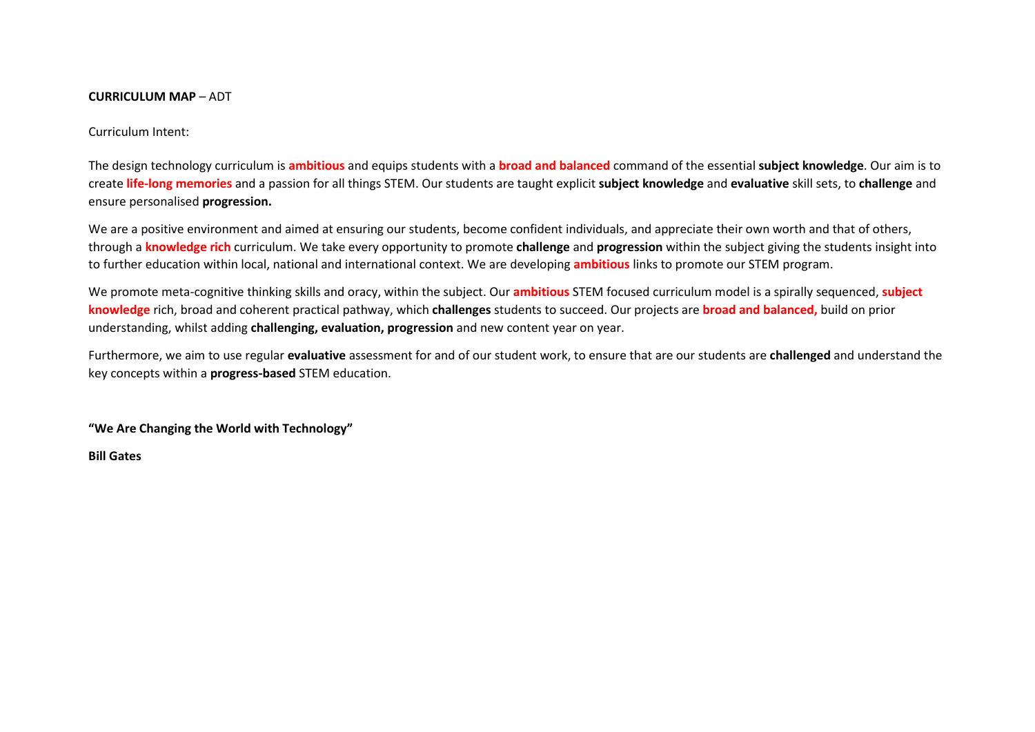## **CURRICULUM MAP** – ADT

Curriculum Intent:

The design technology curriculum is **ambitious** and equips students with a **broad and balanced** command of the essential **subject knowledge**. Our aim is to create **life-long memories** and a passion for all things STEM. Our students are taught explicit **subject knowledge** and **evaluative** skill sets, to **challenge** and ensure personalised **progression.**

We are a positive environment and aimed at ensuring our students, become confident individuals, and appreciate their own worth and that of others, through a **knowledge rich** curriculum. We take every opportunity to promote **challenge** and **progression** within the subject giving the students insight into to further education within local, national and international context. We are developing **ambitious** links to promote our STEM program.

We promote meta-cognitive thinking skills and oracy, within the subject. Our **ambitious** STEM focused curriculum model is a spirally sequenced, **subject knowledge** rich, broad and coherent practical pathway, which **challenges** students to succeed. Our projects are **broad and balanced,** build on prior understanding, whilst adding **challenging, evaluation, progression** and new content year on year.

Furthermore, we aim to use regular **evaluative** assessment for and of our student work, to ensure that are our students are **challenged** and understand the key concepts within a **progress-based** STEM education.

**"We Are Changing the World with Technology"**

**Bill Gates**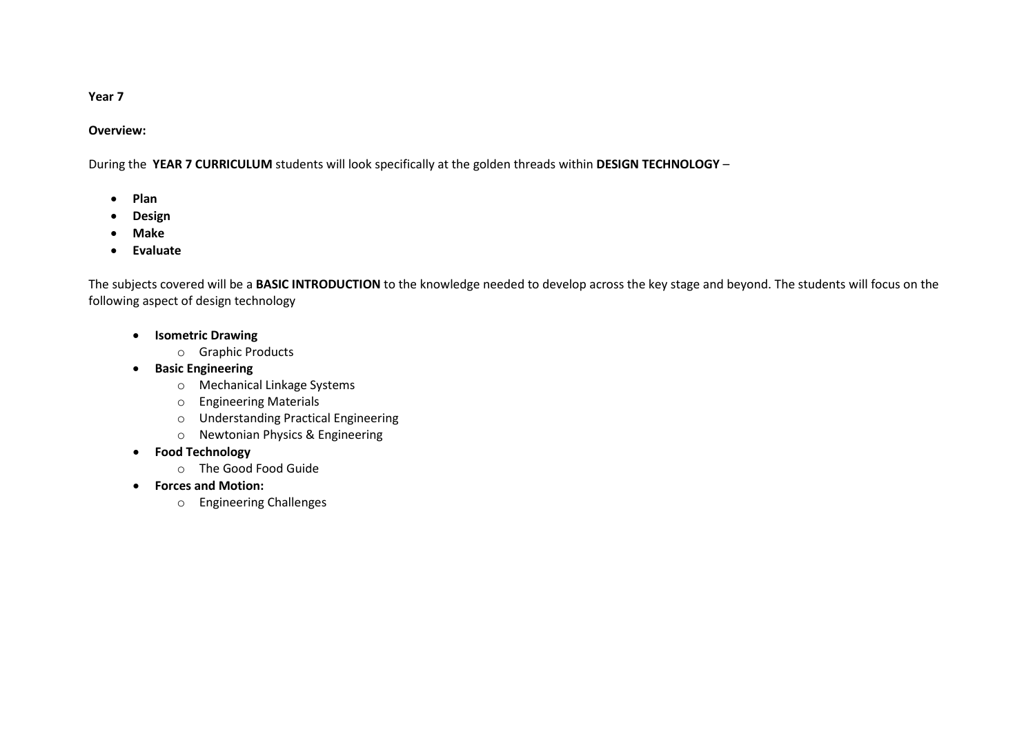# **Year 7**

# **Overview:**

During the **YEAR 7 CURRICULUM** students will look specifically at the golden threads within **DESIGN TECHNOLOGY** –

- **Plan**
- **Design**
- **Make**
- **Evaluate**

The subjects covered will be a **BASIC INTRODUCTION** to the knowledge needed to develop across the key stage and beyond. The students will focus on the following aspect of design technology

- **Isometric Drawing** 
	- o Graphic Products
- **Basic Engineering**
	- o Mechanical Linkage Systems
	- o Engineering Materials
	- o Understanding Practical Engineering
	- o Newtonian Physics & Engineering
- **Food Technology** 
	- o The Good Food Guide
- **Forces and Motion:**
	- o Engineering Challenges